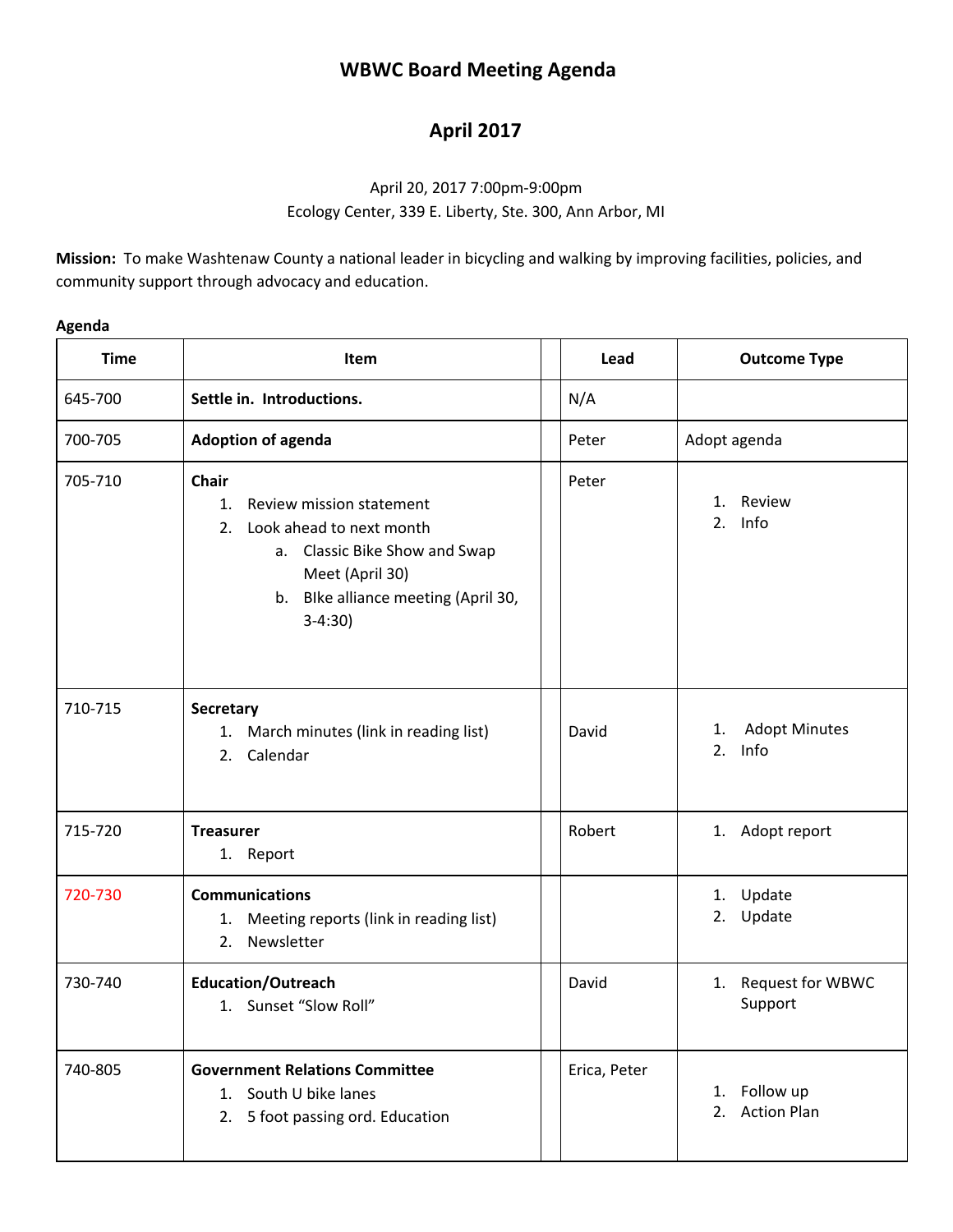## **WBWC Board Meeting Agenda**

## **April 2017**

## April 20, 2017 7:00pm-9:00pm Ecology Center, 339 E. Liberty, Ste. 300, Ann Arbor, MI

**Mission:** To make Washtenaw County a national leader in bicycling and walking by improving facilities, policies, and community support through advocacy and education.

| Δ<br>\gena |  |
|------------|--|
|------------|--|

| <b>Time</b> | Item                                                                                                                                                                                     | Lead         | <b>Outcome Type</b>                         |
|-------------|------------------------------------------------------------------------------------------------------------------------------------------------------------------------------------------|--------------|---------------------------------------------|
| 645-700     | Settle in. Introductions.                                                                                                                                                                | N/A          |                                             |
| 700-705     | <b>Adoption of agenda</b>                                                                                                                                                                | Peter        | Adopt agenda                                |
| 705-710     | <b>Chair</b><br>Review mission statement<br>1.<br>Look ahead to next month<br>2.<br>a. Classic Bike Show and Swap<br>Meet (April 30)<br>b. Blke alliance meeting (April 30,<br>$3-4:30)$ | Peter        | Review<br>1.<br>Info<br>2.                  |
| 710-715     | <b>Secretary</b><br>1. March minutes (link in reading list)<br>Calendar<br>2.                                                                                                            | David        | <b>Adopt Minutes</b><br>1.<br>Info<br>2.    |
| 715-720     | <b>Treasurer</b><br>1. Report                                                                                                                                                            | Robert       | 1. Adopt report                             |
| 720-730     | <b>Communications</b><br>Meeting reports (link in reading list)<br>1.<br>Newsletter<br>2.                                                                                                |              | 1. Update<br>Update<br>2.                   |
| 730-740     | <b>Education/Outreach</b><br>1. Sunset "Slow Roll"                                                                                                                                       | David        | 1. Request for WBWC<br>Support              |
| 740-805     | <b>Government Relations Committee</b><br>1. South U bike lanes<br>2. 5 foot passing ord. Education                                                                                       | Erica, Peter | Follow up<br>1.<br><b>Action Plan</b><br>2. |